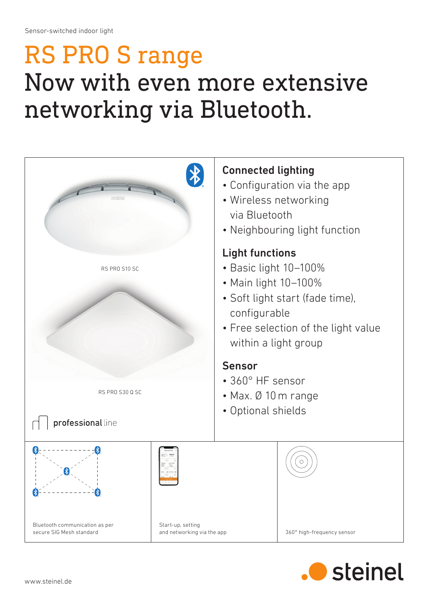## RS PRO S range Now with even more extensive networking via Bluetooth.